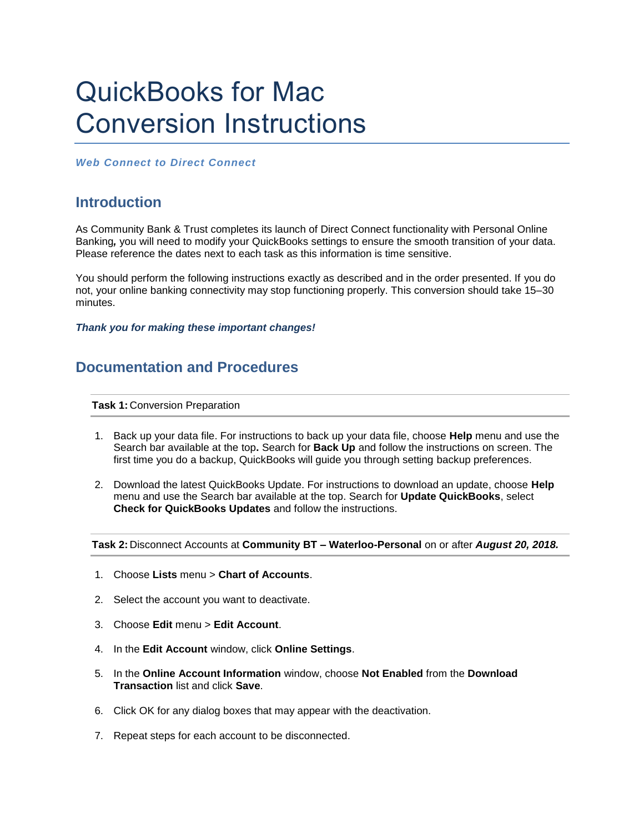## QuickBooks for Mac Conversion Instructions

*Web Connect to Direct Connect*

## **Introduction**

As Community Bank & Trust completes its launch of Direct Connect functionality with Personal Online Banking*,* you will need to modify your QuickBooks settings to ensure the smooth transition of your data. Please reference the dates next to each task as this information is time sensitive.

You should perform the following instructions exactly as described and in the order presented. If you do not, your online banking connectivity may stop functioning properly. This conversion should take 15–30 minutes.

*Thank you for making these important changes!*

## **Documentation and Procedures**

**Task 1:** Conversion Preparation

- 1. Back up your data file. For instructions to back up your data file, choose **Help** menu and use the Search bar available at the top**.** Search for **Back Up** and follow the instructions on screen. The first time you do a backup, QuickBooks will guide you through setting backup preferences.
- 2. Download the latest QuickBooks Update. For instructions to download an update, choose **Help** menu and use the Search bar available at the top. Search for **Update QuickBooks**, select **Check for QuickBooks Updates** and follow the instructions.

**Task 2:** Disconnect Accounts at **Community BT – Waterloo-Personal** on or after *August 20, 2018.*

- 1. Choose **Lists** menu > **Chart of Accounts**.
- 2. Select the account you want to deactivate.
- 3. Choose **Edit** menu > **Edit Account**.
- 4. In the **Edit Account** window, click **Online Settings**.
- 5. In the **Online Account Information** window, choose **Not Enabled** from the **Download Transaction** list and click **Save**.
- 6. Click OK for any dialog boxes that may appear with the deactivation.
- 7. Repeat steps for each account to be disconnected.